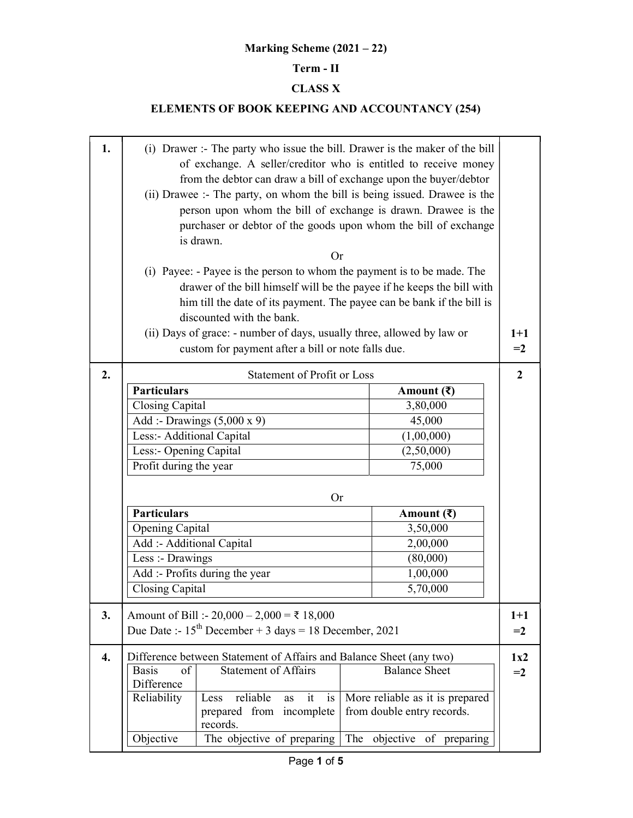## Marking Scheme (2021 – 22)

## Term - II

## CLASS X

## ELEMENTS OF BOOK KEEPING AND ACCOUNTANCY (254)

| 1.                 | (i) Drawer :- The party who issue the bill. Drawer is the maker of the bill<br>of exchange. A seller/creditor who is entitled to receive money<br>from the debtor can draw a bill of exchange upon the buyer/debtor<br>(ii) Drawee :- The party, on whom the bill is being issued. Drawee is the<br>person upon whom the bill of exchange is drawn. Drawee is the<br>purchaser or debtor of the goods upon whom the bill of exchange<br>is drawn.<br>Or<br>(i) Payee: - Payee is the person to whom the payment is to be made. The<br>drawer of the bill himself will be the payee if he keeps the bill with<br>him till the date of its payment. The payee can be bank if the bill is |                                             |                                      |       |  |  |  |  |  |
|--------------------|----------------------------------------------------------------------------------------------------------------------------------------------------------------------------------------------------------------------------------------------------------------------------------------------------------------------------------------------------------------------------------------------------------------------------------------------------------------------------------------------------------------------------------------------------------------------------------------------------------------------------------------------------------------------------------------|---------------------------------------------|--------------------------------------|-------|--|--|--|--|--|
|                    | discounted with the bank.<br>(ii) Days of grace: - number of days, usually three, allowed by law or<br>custom for payment after a bill or note falls due.                                                                                                                                                                                                                                                                                                                                                                                                                                                                                                                              |                                             |                                      |       |  |  |  |  |  |
| 2.                 | <b>Statement of Profit or Loss</b>                                                                                                                                                                                                                                                                                                                                                                                                                                                                                                                                                                                                                                                     |                                             |                                      |       |  |  |  |  |  |
|                    | <b>Particulars</b>                                                                                                                                                                                                                                                                                                                                                                                                                                                                                                                                                                                                                                                                     |                                             | Amount $(\bar{\mathbf{\mathsf{z}}})$ |       |  |  |  |  |  |
|                    | Closing Capital                                                                                                                                                                                                                                                                                                                                                                                                                                                                                                                                                                                                                                                                        |                                             | 3,80,000                             |       |  |  |  |  |  |
|                    |                                                                                                                                                                                                                                                                                                                                                                                                                                                                                                                                                                                                                                                                                        | Add :- Drawings $(5,000 \times 9)$          | 45,000                               |       |  |  |  |  |  |
|                    | Less:- Additional Capital                                                                                                                                                                                                                                                                                                                                                                                                                                                                                                                                                                                                                                                              |                                             | (1,00,000)                           |       |  |  |  |  |  |
|                    | Less:- Opening Capital                                                                                                                                                                                                                                                                                                                                                                                                                                                                                                                                                                                                                                                                 |                                             | (2,50,000)                           |       |  |  |  |  |  |
|                    | Profit during the year                                                                                                                                                                                                                                                                                                                                                                                                                                                                                                                                                                                                                                                                 |                                             | 75,000                               |       |  |  |  |  |  |
|                    |                                                                                                                                                                                                                                                                                                                                                                                                                                                                                                                                                                                                                                                                                        | 0r                                          |                                      |       |  |  |  |  |  |
|                    | <b>Particulars</b>                                                                                                                                                                                                                                                                                                                                                                                                                                                                                                                                                                                                                                                                     |                                             | Amount $(\bar{\mathbf{\mathsf{z}}})$ |       |  |  |  |  |  |
|                    | Opening Capital                                                                                                                                                                                                                                                                                                                                                                                                                                                                                                                                                                                                                                                                        |                                             | 3,50,000                             |       |  |  |  |  |  |
|                    | Add :- Additional Capital                                                                                                                                                                                                                                                                                                                                                                                                                                                                                                                                                                                                                                                              |                                             | 2,00,000                             |       |  |  |  |  |  |
|                    | Less :- Drawings                                                                                                                                                                                                                                                                                                                                                                                                                                                                                                                                                                                                                                                                       |                                             | (80,000)                             |       |  |  |  |  |  |
|                    |                                                                                                                                                                                                                                                                                                                                                                                                                                                                                                                                                                                                                                                                                        | Add :- Profits during the year              | 1,00,000                             |       |  |  |  |  |  |
|                    | Closing Capital                                                                                                                                                                                                                                                                                                                                                                                                                                                                                                                                                                                                                                                                        |                                             | 5,70,000                             |       |  |  |  |  |  |
| 3.                 |                                                                                                                                                                                                                                                                                                                                                                                                                                                                                                                                                                                                                                                                                        | Amount of Bill :- 20,000 – 2,000 = ₹ 18,000 |                                      | $1+1$ |  |  |  |  |  |
|                    |                                                                                                                                                                                                                                                                                                                                                                                                                                                                                                                                                                                                                                                                                        |                                             |                                      | $=2$  |  |  |  |  |  |
|                    | Due Date :- $15^{th}$ December + 3 days = 18 December, 2021                                                                                                                                                                                                                                                                                                                                                                                                                                                                                                                                                                                                                            |                                             |                                      |       |  |  |  |  |  |
| $\boldsymbol{4}$ . | Difference between Statement of Affairs and Balance Sheet (any two)                                                                                                                                                                                                                                                                                                                                                                                                                                                                                                                                                                                                                    |                                             |                                      |       |  |  |  |  |  |
|                    | of<br><b>Basis</b>                                                                                                                                                                                                                                                                                                                                                                                                                                                                                                                                                                                                                                                                     | <b>Statement of Affairs</b>                 | <b>Balance Sheet</b>                 | $=2$  |  |  |  |  |  |
|                    | Difference                                                                                                                                                                                                                                                                                                                                                                                                                                                                                                                                                                                                                                                                             |                                             |                                      |       |  |  |  |  |  |
|                    | Reliability                                                                                                                                                                                                                                                                                                                                                                                                                                                                                                                                                                                                                                                                            | reliable<br>Less<br>it is<br>as             | More reliable as it is prepared      |       |  |  |  |  |  |
|                    |                                                                                                                                                                                                                                                                                                                                                                                                                                                                                                                                                                                                                                                                                        | prepared from incomplete                    | from double entry records.           |       |  |  |  |  |  |
|                    | Objective                                                                                                                                                                                                                                                                                                                                                                                                                                                                                                                                                                                                                                                                              | records.<br>The objective of preparing      | The objective of preparing           |       |  |  |  |  |  |
|                    |                                                                                                                                                                                                                                                                                                                                                                                                                                                                                                                                                                                                                                                                                        |                                             |                                      |       |  |  |  |  |  |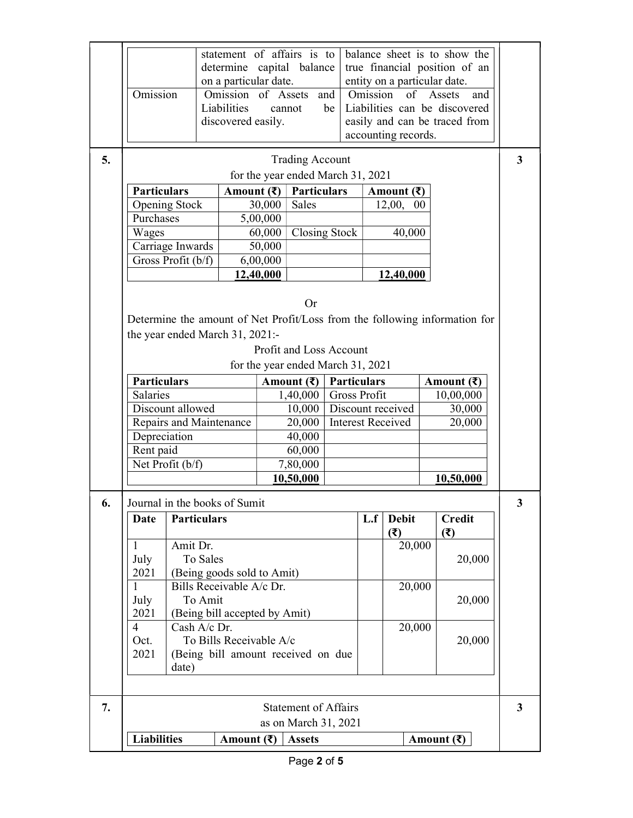|    | <b>Liabilities</b><br>Amount $(\bar{\mathbf{\mathsf{z}}})$<br><b>Assets</b><br>Amount $(\bar{\mathbf{\mathsf{z}}})$ |                                                        |                             |                                                   |                                   |                    |                             |                          |        |                                                                            |                         |
|----|---------------------------------------------------------------------------------------------------------------------|--------------------------------------------------------|-----------------------------|---------------------------------------------------|-----------------------------------|--------------------|-----------------------------|--------------------------|--------|----------------------------------------------------------------------------|-------------------------|
|    |                                                                                                                     |                                                        |                             |                                                   | as on March 31, 2021              |                    |                             |                          |        |                                                                            |                         |
| 7. |                                                                                                                     |                                                        |                             |                                                   | <b>Statement of Affairs</b>       |                    |                             |                          |        |                                                                            | $\overline{\mathbf{3}}$ |
|    |                                                                                                                     |                                                        |                             |                                                   |                                   |                    |                             |                          |        |                                                                            |                         |
|    |                                                                                                                     |                                                        |                             |                                                   |                                   |                    |                             |                          |        |                                                                            |                         |
|    | date)                                                                                                               |                                                        |                             |                                                   |                                   |                    |                             |                          |        |                                                                            |                         |
|    | 2021                                                                                                                | (Being bill amount received on due                     |                             |                                                   |                                   |                    |                             |                          |        |                                                                            |                         |
|    | Oct.                                                                                                                | To Bills Receivable A/c                                |                             |                                                   |                                   |                    |                             |                          | 20,000 |                                                                            |                         |
|    | Cash A/c Dr.<br>$\overline{4}$                                                                                      |                                                        |                             |                                                   |                                   |                    |                             | 20,000                   |        |                                                                            |                         |
|    | 2021<br>(Being bill accepted by Amit)                                                                               |                                                        |                             |                                                   |                                   |                    |                             |                          |        |                                                                            |                         |
|    | July                                                                                                                | To Amit                                                |                             |                                                   |                                   |                    |                             |                          |        | 20,000                                                                     |                         |
|    | 2021<br>1                                                                                                           | (Being goods sold to Amit)<br>Bills Receivable A/c Dr. |                             |                                                   |                                   |                    |                             | 20,000                   |        |                                                                            |                         |
|    | July                                                                                                                | To Sales                                               |                             |                                                   |                                   |                    |                             |                          |        | 20,000                                                                     |                         |
|    | $\mathbf{1}$                                                                                                        | Amit Dr.                                               |                             |                                                   |                                   |                    |                             | 20,000                   |        |                                                                            |                         |
|    |                                                                                                                     |                                                        |                             |                                                   |                                   |                    |                             | (5)                      |        | (3)                                                                        |                         |
|    | Date                                                                                                                | <b>Particulars</b>                                     |                             |                                                   |                                   |                    |                             | <b>Debit</b><br>L.f      |        | <b>Credit</b>                                                              |                         |
| 6. |                                                                                                                     | Journal in the books of Sumit                          |                             |                                                   |                                   |                    |                             |                          |        |                                                                            | 3                       |
|    |                                                                                                                     |                                                        |                             |                                                   |                                   |                    |                             |                          |        |                                                                            |                         |
|    |                                                                                                                     |                                                        |                             | 10,50,000                                         |                                   |                    |                             |                          |        | 10,50,000                                                                  |                         |
|    |                                                                                                                     | Net Profit (b/f)                                       |                             |                                                   | 7,80,000                          |                    |                             |                          |        |                                                                            |                         |
|    | Depreciation<br>Rent paid                                                                                           |                                                        |                             |                                                   | 40,000<br>60,000                  |                    |                             |                          |        |                                                                            |                         |
|    | Repairs and Maintenance<br>20,000                                                                                   |                                                        |                             |                                                   |                                   |                    |                             | <b>Interest Received</b> |        | 20,000                                                                     |                         |
|    |                                                                                                                     | Discount allowed                                       |                             |                                                   | 10,000                            |                    | Discount received<br>30,000 |                          |        |                                                                            |                         |
|    | <b>Salaries</b>                                                                                                     |                                                        |                             |                                                   | 1,40,000                          |                    | <b>Gross Profit</b>         |                          |        | 10,00,000                                                                  |                         |
|    | <b>Particulars</b>                                                                                                  |                                                        |                             |                                                   | Amount $(\bar{\mathbf{\xi}})$     | <b>Particulars</b> |                             |                          |        | Amount $(\bar{\mathbf{z}})$                                                |                         |
|    |                                                                                                                     |                                                        |                             |                                                   | for the year ended March 31, 2021 |                    |                             |                          |        |                                                                            |                         |
|    |                                                                                                                     |                                                        |                             |                                                   | Profit and Loss Account           |                    |                             |                          |        |                                                                            |                         |
|    |                                                                                                                     | the year ended March 31, 2021:-                        |                             |                                                   |                                   |                    |                             |                          |        |                                                                            |                         |
|    |                                                                                                                     |                                                        |                             |                                                   |                                   |                    |                             |                          |        | Determine the amount of Net Profit/Loss from the following information for |                         |
|    |                                                                                                                     |                                                        |                             |                                                   | Or                                |                    |                             |                          |        |                                                                            |                         |
|    |                                                                                                                     |                                                        |                             |                                                   |                                   |                    |                             |                          |        |                                                                            |                         |
|    |                                                                                                                     |                                                        |                             | <u>12,40,000</u>                                  |                                   |                    |                             | 12,40,000                |        |                                                                            |                         |
|    |                                                                                                                     | Gross Profit (b/f)                                     |                             | 6,00,000                                          |                                   |                    |                             |                          |        |                                                                            |                         |
|    | Wages                                                                                                               | Carriage Inwards                                       |                             | 60,000<br>50,000                                  | <b>Closing Stock</b>              |                    |                             | 40,000                   |        |                                                                            |                         |
|    | Purchases                                                                                                           |                                                        |                             | 5,00,000                                          |                                   |                    |                             |                          |        |                                                                            |                         |
|    |                                                                                                                     | <b>Opening Stock</b>                                   |                             | 30,000                                            | Sales                             |                    |                             | 12,00, 00                |        |                                                                            |                         |
|    | <b>Particulars</b>                                                                                                  |                                                        | Amount $(\bar{\mathbf{z}})$ | <b>Particulars</b><br>Amount $(\bar{\mathbf{z}})$ |                                   |                    |                             |                          |        |                                                                            |                         |
|    |                                                                                                                     |                                                        |                             |                                                   | for the year ended March 31, 2021 |                    |                             |                          |        |                                                                            |                         |
| 5. |                                                                                                                     |                                                        |                             |                                                   | <b>Trading Account</b>            |                    |                             |                          |        |                                                                            | 3                       |
|    |                                                                                                                     |                                                        |                             |                                                   |                                   |                    |                             | accounting records.      |        |                                                                            |                         |
|    |                                                                                                                     |                                                        | discovered easily.          |                                                   |                                   |                    |                             |                          |        | easily and can be traced from                                              |                         |
|    |                                                                                                                     |                                                        | Liabilities                 |                                                   | cannot                            | be                 |                             |                          |        | Liabilities can be discovered                                              |                         |
|    | Omission                                                                                                            |                                                        | Omission of Assets          |                                                   |                                   | and                | Omission                    | of                       |        | Assets<br>and                                                              |                         |
|    | on a particular date.<br>entity on a particular date.                                                               |                                                        |                             |                                                   |                                   |                    |                             |                          |        |                                                                            |                         |
|    | determine capital balance<br>true financial position of an                                                          |                                                        |                             |                                                   |                                   |                    |                             |                          |        |                                                                            |                         |
|    | statement of affairs is to<br>balance sheet is to show the                                                          |                                                        |                             |                                                   |                                   |                    |                             |                          |        |                                                                            |                         |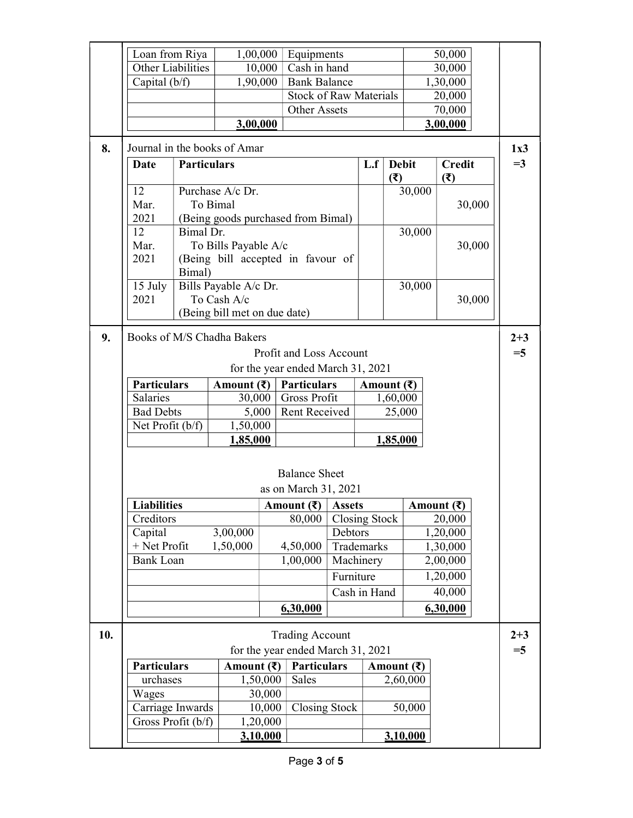|     | Loan from Riya<br>1,00,000<br>Equipments         |                    |                                    |                                                        | 50,000                            |            |                                      |            |          |                               |  |         |
|-----|--------------------------------------------------|--------------------|------------------------------------|--------------------------------------------------------|-----------------------------------|------------|--------------------------------------|------------|----------|-------------------------------|--|---------|
|     | <b>Other Liabilities</b>                         |                    |                                    | 10,000                                                 | Cash in hand                      |            |                                      |            | 30,000   |                               |  |         |
|     | Capital (b/f)<br>1,90,000<br><b>Bank Balance</b> |                    |                                    |                                                        |                                   | 1,30,000   |                                      |            |          |                               |  |         |
|     | <b>Stock of Raw Materials</b>                    |                    |                                    |                                                        | 20,000                            |            |                                      |            |          |                               |  |         |
|     |                                                  |                    |                                    |                                                        | <b>Other Assets</b>               |            | 70,000                               |            |          |                               |  |         |
|     |                                                  |                    | 3,00,000                           |                                                        |                                   |            |                                      |            |          | 3,00,000                      |  |         |
| 8.  | Journal in the books of Amar                     |                    |                                    |                                                        |                                   |            |                                      |            |          |                               |  | 1x3     |
|     | <b>Date</b>                                      | <b>Particulars</b> |                                    |                                                        |                                   |            | <b>Debit</b><br>L.f<br>(3)           |            |          | <b>Credit</b><br>(3)          |  | $=3$    |
|     | 12                                               |                    | Purchase A/c Dr.                   |                                                        |                                   |            |                                      |            | 30,000   |                               |  |         |
|     | Mar.                                             |                    | To Bimal                           |                                                        |                                   |            |                                      |            |          | 30,000                        |  |         |
|     | 2021                                             |                    | (Being goods purchased from Bimal) |                                                        |                                   |            |                                      |            |          |                               |  |         |
|     | 12                                               | Bimal Dr.          |                                    |                                                        |                                   |            |                                      |            | 30,000   |                               |  |         |
|     | Mar.                                             |                    | To Bills Payable A/c               |                                                        |                                   |            |                                      |            |          | 30,000                        |  |         |
|     | 2021                                             | Bimal)             | (Being bill accepted in favour of  |                                                        |                                   |            |                                      |            |          |                               |  |         |
|     | 15 July                                          |                    | Bills Payable A/c Dr.              |                                                        |                                   |            |                                      |            | 30,000   |                               |  |         |
|     | 2021                                             |                    | To Cash A/c                        |                                                        |                                   |            |                                      |            |          | 30,000                        |  |         |
|     |                                                  |                    | (Being bill met on due date)       |                                                        |                                   |            |                                      |            |          |                               |  |         |
| 9.  | Books of M/S Chadha Bakers                       |                    |                                    |                                                        |                                   |            |                                      |            |          |                               |  | $2 + 3$ |
|     |                                                  |                    |                                    |                                                        | Profit and Loss Account           |            |                                      |            |          |                               |  | $=$ 5   |
|     |                                                  |                    |                                    |                                                        | for the year ended March 31, 2021 |            |                                      |            |          |                               |  |         |
|     | <b>Particulars</b>                               |                    | Amount $(\bar{\mathbf{\xi}})$      |                                                        | <b>Particulars</b>                |            |                                      | Amount (₹) |          |                               |  |         |
|     | Salaries                                         |                    | 30,000                             |                                                        | Gross Profit                      |            |                                      | 1,60,000   |          |                               |  |         |
|     | <b>Bad Debts</b>                                 |                    |                                    | 5,000                                                  | Rent Received                     |            |                                      | 25,000     |          |                               |  |         |
|     | Net Profit (b/f)                                 |                    | 1,50,000                           |                                                        |                                   |            |                                      |            |          |                               |  |         |
|     |                                                  | 1,85,000           |                                    |                                                        |                                   |            |                                      | 1,85,000   |          |                               |  |         |
|     |                                                  |                    |                                    |                                                        |                                   |            |                                      |            |          |                               |  |         |
|     |                                                  |                    |                                    |                                                        | <b>Balance Sheet</b>              |            |                                      |            |          |                               |  |         |
|     |                                                  |                    |                                    |                                                        | as on March 31, 2021              |            |                                      |            |          |                               |  |         |
|     | <b>Liabilities</b>                               |                    |                                    | Amount $(\overline{\xi})$   Assets                     |                                   |            |                                      |            |          | Amount $(\bar{\mathbf{\xi}})$ |  |         |
|     | Creditors                                        |                    |                                    |                                                        | 80,000                            |            | Closing Stock                        |            | 20,000   |                               |  |         |
|     | Capital                                          |                    | 3,00,000                           |                                                        |                                   | Debtors    |                                      |            |          | 1,20,000                      |  |         |
|     | + Net Profit                                     |                    | 1,50,000                           |                                                        | 4,50,000                          | Trademarks |                                      |            | 1,30,000 |                               |  |         |
|     | <b>Bank Loan</b>                                 |                    |                                    |                                                        | 1,00,000                          |            | Machinery<br>2,00,000                |            |          |                               |  |         |
|     |                                                  |                    |                                    |                                                        | Furniture                         |            | 1,20,000                             |            |          |                               |  |         |
|     |                                                  |                    |                                    |                                                        | Cash in Hand<br>40,000            |            |                                      |            |          |                               |  |         |
|     |                                                  |                    |                                    | 6,30,000                                               |                                   |            |                                      |            |          | 6,30,000                      |  |         |
| 10. | <b>Trading Account</b>                           |                    |                                    |                                                        |                                   |            |                                      |            | $2 + 3$  |                               |  |         |
|     | for the year ended March 31, 2021                |                    |                                    |                                                        |                                   |            |                                      |            | $=$ 5    |                               |  |         |
|     | <b>Particulars</b>                               |                    |                                    | <b>Particulars</b><br>Amount $(\overline{\mathbf{z}})$ |                                   |            | Amount $(\bar{\mathbf{\mathsf{z}}})$ |            |          |                               |  |         |
|     | urchases                                         |                    |                                    | 1,50,000<br>Sales                                      |                                   |            |                                      |            | 2,60,000 |                               |  |         |
|     | Wages                                            |                    |                                    | 30,000                                                 |                                   |            |                                      |            |          |                               |  |         |
|     | Carriage Inwards                                 |                    |                                    | 10,000                                                 | Closing Stock                     |            |                                      |            | 50,000   |                               |  |         |
|     | Gross Profit (b/f)                               |                    |                                    | 1,20,000                                               |                                   |            |                                      |            |          |                               |  |         |
|     | <u>3,10,000</u>                                  |                    |                                    |                                                        |                                   |            | 3,10,000                             |            |          |                               |  |         |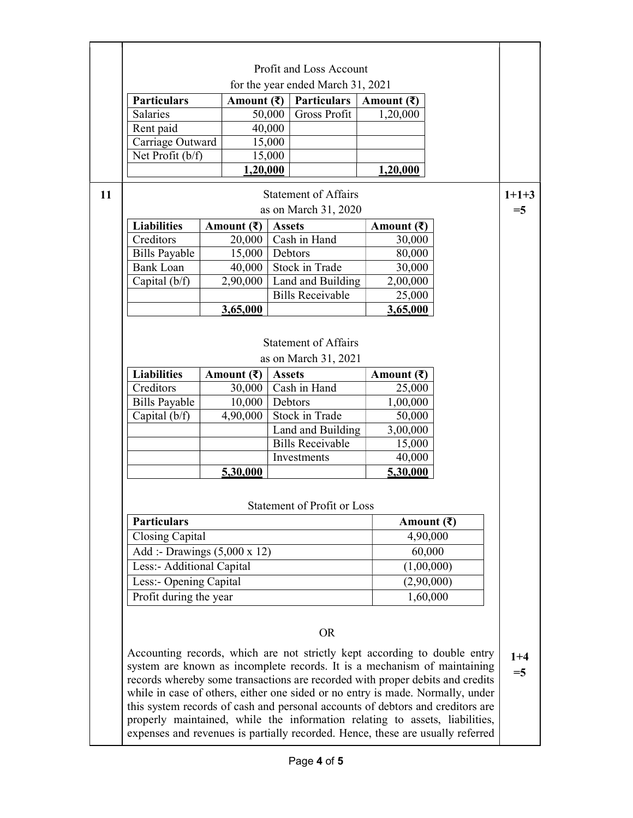|    | Profit and Loss Account                                                                                                                                                                                                                                                                                                                                                                                                                                                                                                                                                     |                                       |                   |                                                     |                             |                    |                       |                  |  |
|----|-----------------------------------------------------------------------------------------------------------------------------------------------------------------------------------------------------------------------------------------------------------------------------------------------------------------------------------------------------------------------------------------------------------------------------------------------------------------------------------------------------------------------------------------------------------------------------|---------------------------------------|-------------------|-----------------------------------------------------|-----------------------------|--------------------|-----------------------|------------------|--|
|    |                                                                                                                                                                                                                                                                                                                                                                                                                                                                                                                                                                             | for the year ended March 31, 2021     |                   |                                                     |                             |                    |                       |                  |  |
|    | <b>Particulars</b>                                                                                                                                                                                                                                                                                                                                                                                                                                                                                                                                                          | Amount $(\overline{\mathbf{z}})$      |                   | <b>Particulars</b>                                  | Amount $(\bar{\mathbf{z}})$ |                    |                       |                  |  |
|    | Salaries                                                                                                                                                                                                                                                                                                                                                                                                                                                                                                                                                                    |                                       | 50,000            | <b>Gross Profit</b>                                 | 1,20,000                    |                    |                       |                  |  |
|    | Rent paid                                                                                                                                                                                                                                                                                                                                                                                                                                                                                                                                                                   |                                       | 40,000            |                                                     |                             |                    |                       |                  |  |
|    | Carriage Outward                                                                                                                                                                                                                                                                                                                                                                                                                                                                                                                                                            |                                       | 15,000            |                                                     |                             |                    |                       |                  |  |
|    | Net Profit (b/f)                                                                                                                                                                                                                                                                                                                                                                                                                                                                                                                                                            |                                       | 15,000            |                                                     |                             |                    |                       |                  |  |
|    |                                                                                                                                                                                                                                                                                                                                                                                                                                                                                                                                                                             | 1,20,000                              |                   |                                                     | 1,20,000                    |                    |                       |                  |  |
| 11 |                                                                                                                                                                                                                                                                                                                                                                                                                                                                                                                                                                             |                                       |                   | <b>Statement of Affairs</b><br>as on March 31, 2020 |                             |                    |                       | $1+1+3$<br>$=$ 5 |  |
|    | <b>Liabilities</b>                                                                                                                                                                                                                                                                                                                                                                                                                                                                                                                                                          |                                       |                   |                                                     |                             |                    |                       |                  |  |
|    | Creditors                                                                                                                                                                                                                                                                                                                                                                                                                                                                                                                                                                   | Amount $(\bar{\mathbf{z}})$<br>20,000 | <b>Assets</b>     | Cash in Hand                                        | Amount $(\bar{\mathbf{z}})$ | 30,000             |                       |                  |  |
|    |                                                                                                                                                                                                                                                                                                                                                                                                                                                                                                                                                                             |                                       |                   |                                                     |                             |                    |                       |                  |  |
|    | <b>Bills Payable</b><br><b>Bank Loan</b>                                                                                                                                                                                                                                                                                                                                                                                                                                                                                                                                    | 15,000<br>40,000                      |                   | Debtors<br>Stock in Trade                           |                             | 80,000<br>30,000   |                       |                  |  |
|    |                                                                                                                                                                                                                                                                                                                                                                                                                                                                                                                                                                             |                                       |                   |                                                     |                             |                    |                       |                  |  |
|    | Capital (b/f)                                                                                                                                                                                                                                                                                                                                                                                                                                                                                                                                                               | 2,90,000                              |                   | Land and Building<br><b>Bills Receivable</b>        | 2,00,000                    |                    |                       |                  |  |
|    |                                                                                                                                                                                                                                                                                                                                                                                                                                                                                                                                                                             |                                       |                   |                                                     |                             | 25,000             |                       |                  |  |
|    |                                                                                                                                                                                                                                                                                                                                                                                                                                                                                                                                                                             | 3,65,000                              |                   |                                                     | 3,65,000                    |                    |                       |                  |  |
|    |                                                                                                                                                                                                                                                                                                                                                                                                                                                                                                                                                                             |                                       |                   |                                                     |                             |                    |                       |                  |  |
|    |                                                                                                                                                                                                                                                                                                                                                                                                                                                                                                                                                                             |                                       |                   | <b>Statement of Affairs</b>                         |                             |                    |                       |                  |  |
|    |                                                                                                                                                                                                                                                                                                                                                                                                                                                                                                                                                                             |                                       |                   | as on March 31, 2021                                |                             |                    |                       |                  |  |
|    | <b>Liabilities</b>                                                                                                                                                                                                                                                                                                                                                                                                                                                                                                                                                          | Amount $(\overline{\mathbf{z}})$      | <b>Assets</b>     |                                                     | Amount $(\bar{\mathbf{z}})$ |                    |                       |                  |  |
|    | Creditors                                                                                                                                                                                                                                                                                                                                                                                                                                                                                                                                                                   | 30,000                                | Cash in Hand      |                                                     |                             | 25,000             |                       |                  |  |
|    | <b>Bills Payable</b>                                                                                                                                                                                                                                                                                                                                                                                                                                                                                                                                                        | 10,000                                | Debtors           |                                                     | 1,00,000                    |                    |                       |                  |  |
|    | Capital (b/f)                                                                                                                                                                                                                                                                                                                                                                                                                                                                                                                                                               | 4,90,000                              | Stock in Trade    |                                                     |                             | 50,000             |                       |                  |  |
|    |                                                                                                                                                                                                                                                                                                                                                                                                                                                                                                                                                                             |                                       | Land and Building |                                                     | 3,00,000                    |                    |                       |                  |  |
|    |                                                                                                                                                                                                                                                                                                                                                                                                                                                                                                                                                                             |                                       |                   | <b>Bills Receivable</b>                             |                             | 15,000             |                       |                  |  |
|    |                                                                                                                                                                                                                                                                                                                                                                                                                                                                                                                                                                             |                                       |                   | Investments                                         |                             | 40,000             |                       |                  |  |
|    |                                                                                                                                                                                                                                                                                                                                                                                                                                                                                                                                                                             | 5,30,000                              |                   |                                                     |                             |                    |                       |                  |  |
|    | 5,30,000                                                                                                                                                                                                                                                                                                                                                                                                                                                                                                                                                                    |                                       |                   |                                                     |                             |                    |                       |                  |  |
|    | Statement of Profit or Loss                                                                                                                                                                                                                                                                                                                                                                                                                                                                                                                                                 |                                       |                   |                                                     |                             |                    |                       |                  |  |
|    | <b>Particulars</b>                                                                                                                                                                                                                                                                                                                                                                                                                                                                                                                                                          |                                       |                   |                                                     |                             |                    | Amount $(\bar{\tau})$ |                  |  |
|    | Closing Capital                                                                                                                                                                                                                                                                                                                                                                                                                                                                                                                                                             |                                       |                   |                                                     |                             |                    |                       |                  |  |
|    |                                                                                                                                                                                                                                                                                                                                                                                                                                                                                                                                                                             |                                       |                   |                                                     |                             | 4,90,000<br>60,000 |                       |                  |  |
|    | Add :- Drawings $(5,000 \times 12)$                                                                                                                                                                                                                                                                                                                                                                                                                                                                                                                                         |                                       |                   |                                                     |                             |                    |                       |                  |  |
|    | Less:- Additional Capital                                                                                                                                                                                                                                                                                                                                                                                                                                                                                                                                                   |                                       |                   |                                                     |                             | (1,00,000)         |                       |                  |  |
|    | Less:- Opening Capital                                                                                                                                                                                                                                                                                                                                                                                                                                                                                                                                                      |                                       |                   |                                                     |                             | (2,90,000)         |                       |                  |  |
|    | Profit during the year                                                                                                                                                                                                                                                                                                                                                                                                                                                                                                                                                      |                                       |                   |                                                     |                             | 1,60,000           |                       |                  |  |
|    | <b>OR</b>                                                                                                                                                                                                                                                                                                                                                                                                                                                                                                                                                                   |                                       |                   |                                                     |                             |                    |                       |                  |  |
|    | Accounting records, which are not strictly kept according to double entry<br>system are known as incomplete records. It is a mechanism of maintaining<br>records whereby some transactions are recorded with proper debits and credits<br>while in case of others, either one sided or no entry is made. Normally, under<br>this system records of cash and personal accounts of debtors and creditors are<br>properly maintained, while the information relating to assets, liabilities,<br>expenses and revenues is partially recorded. Hence, these are usually referred |                                       |                   |                                                     |                             |                    |                       |                  |  |
|    |                                                                                                                                                                                                                                                                                                                                                                                                                                                                                                                                                                             |                                       |                   |                                                     |                             |                    |                       |                  |  |

٦